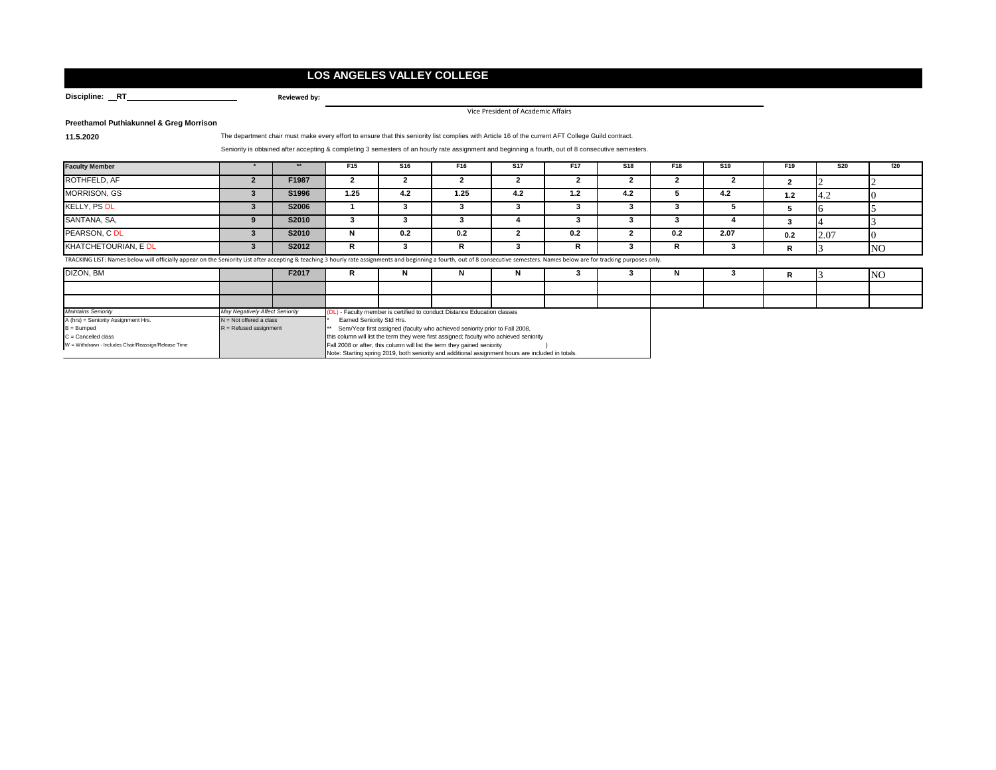## **LOS ANGELES VALLEY COLLEGE**

**Reviewed by:**

Discipline: RT

Vice President of Academic Affairs

**Preethamol Puthiakunnel & Greg Morrison**

**11.5.2020** The department chair must make every effort to ensure that this seniority list complies with Article 16 of the current AFT College Guild contract.

## Seniority is obtained after accepting & completing 3 semesters of an hourly rate assignment and beginning a fourth, out of 8 consecutive semesters.

| <b>Faculty Member</b>                                                                                                                                                                                                          | $***$ | F15  | S <sub>16</sub> | F16  | <b>S17</b> | F <sub>17</sub> | <b>S18</b> | F18 | <b>S19</b> | F <sub>19</sub> | <b>S20</b> | f20       |
|--------------------------------------------------------------------------------------------------------------------------------------------------------------------------------------------------------------------------------|-------|------|-----------------|------|------------|-----------------|------------|-----|------------|-----------------|------------|-----------|
| ROTHFELD, AF                                                                                                                                                                                                                   | F1987 |      |                 |      |            |                 |            |     |            |                 |            |           |
| <b>MORRISON, GS</b>                                                                                                                                                                                                            | S1996 | 1.25 | 4.2             | 1.25 | 4.2        | 1.2             | 4.2        |     | -4.2       | 1.2             | <b>4.2</b> |           |
| KELLY, PS DL                                                                                                                                                                                                                   | S2006 |      |                 |      |            |                 |            |     |            |                 |            |           |
| SANTANA, SA,                                                                                                                                                                                                                   | S2010 |      |                 |      |            |                 |            |     |            |                 |            |           |
| PEARSON, C DL                                                                                                                                                                                                                  | S2010 |      | 0.2             | 0.2  |            | 0.2             |            | 0.2 | 2.07       | 0.2             | 2.07       |           |
| KHATCHETOURIAN, E DL                                                                                                                                                                                                           | S2012 |      |                 | R    |            |                 |            |     |            |                 |            | <b>NO</b> |
| TRACKING LIST: Names below will officially appear on the Seniority List after accepting & teaching 3 hourly rate assignments and beginning a fourth, out of 8 consecutive semesters. Names below are for tracking purposes onl |       |      |                 |      |            |                 |            |     |            |                 |            |           |

| TRACKING LIST: Names below will officially appear on the Seniority List after accepting & teaching 3 hourly rate assignments and beginning a fourth, out of 8 consecutive semesters. Names below are for tracking purposes onl |  |
|--------------------------------------------------------------------------------------------------------------------------------------------------------------------------------------------------------------------------------|--|
|                                                                                                                                                                                                                                |  |

| DIZON, BM                                            |                                 | F2017 |                                                                                                    |  |  |  |  |  |  |  | <b>NO</b> |
|------------------------------------------------------|---------------------------------|-------|----------------------------------------------------------------------------------------------------|--|--|--|--|--|--|--|-----------|
|                                                      |                                 |       |                                                                                                    |  |  |  |  |  |  |  |           |
|                                                      |                                 |       |                                                                                                    |  |  |  |  |  |  |  |           |
| <b>Maintains Seniority</b>                           | May Negatively Affect Seniority |       | (DL) - Faculty member is certified to conduct Distance Education classes                           |  |  |  |  |  |  |  |           |
| A (hrs) = Seniority Assignment Hrs.                  | $N = Not$ offered a class       |       | <b>Earned Seniority Std Hrs.</b>                                                                   |  |  |  |  |  |  |  |           |
| $B = B$ umped                                        | $R =$ Refused assignment        |       | ** Sem/Year first assigned (faculty who achieved seniority prior to Fall 2008,                     |  |  |  |  |  |  |  |           |
| $C =$ Cancelled class                                |                                 |       | this column will list the term they were first assigned; faculty who achieved seniority            |  |  |  |  |  |  |  |           |
| W = Withdrawn - Includes Chair/Reassign/Release Time |                                 |       | Fall 2008 or after, this column will list the term they gained seniority                           |  |  |  |  |  |  |  |           |
|                                                      |                                 |       | Note: Starting spring 2019, both seniority and additional assignment hours are included in totals. |  |  |  |  |  |  |  |           |